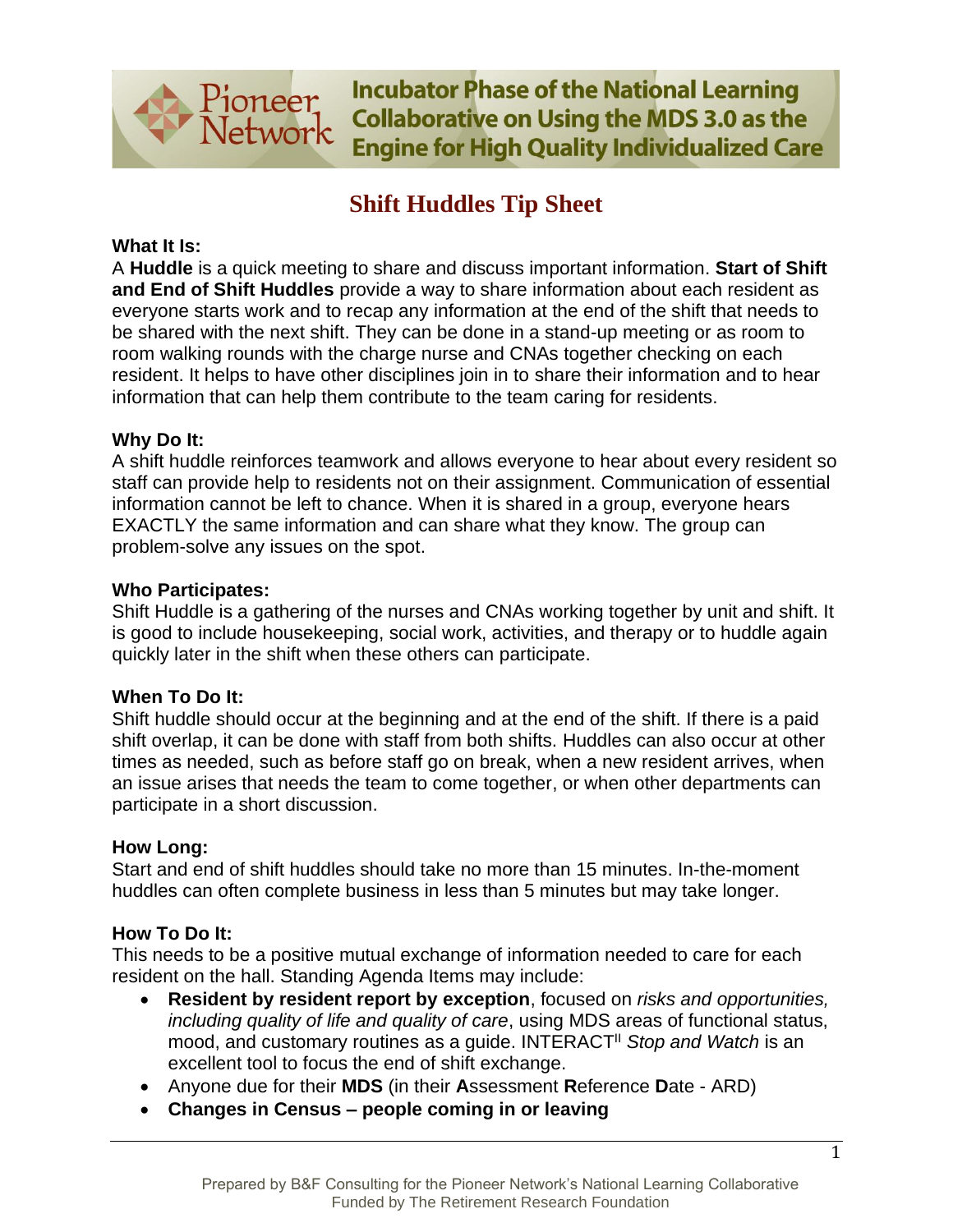

**Incubator Phase of the National Learning Collaborative on Using the MDS 3.0 as the Engine for High Quality Individualized Care** 

# **Shift Huddles Tip Sheet**

# **What It Is:**

A **Huddle** is a quick meeting to share and discuss important information. **Start of Shift and End of Shift Huddles** provide a way to share information about each resident as everyone starts work and to recap any information at the end of the shift that needs to be shared with the next shift. They can be done in a stand-up meeting or as room to room walking rounds with the charge nurse and CNAs together checking on each resident. It helps to have other disciplines join in to share their information and to hear information that can help them contribute to the team caring for residents.

# **Why Do It:**

A shift huddle reinforces teamwork and allows everyone to hear about every resident so staff can provide help to residents not on their assignment. Communication of essential information cannot be left to chance. When it is shared in a group, everyone hears EXACTLY the same information and can share what they know. The group can problem-solve any issues on the spot.

### **Who Participates:**

Shift Huddle is a gathering of the nurses and CNAs working together by unit and shift. It is good to include housekeeping, social work, activities, and therapy or to huddle again quickly later in the shift when these others can participate.

# **When To Do It:**

Shift huddle should occur at the beginning and at the end of the shift. If there is a paid shift overlap, it can be done with staff from both shifts. Huddles can also occur at other times as needed, such as before staff go on break, when a new resident arrives, when an issue arises that needs the team to come together, or when other departments can participate in a short discussion.

### **How Long:**

Start and end of shift huddles should take no more than 15 minutes. In-the-moment huddles can often complete business in less than 5 minutes but may take longer.

# **How To Do It:**

This needs to be a positive mutual exchange of information needed to care for each resident on the hall. Standing Agenda Items may include:

- **Resident by resident report by exception**, focused on *risks and opportunities, including quality of life and quality of care*, using MDS areas of functional status, mood, and customary routines as a guide. INTERACTII *Stop and Watch* is an excellent tool to focus the end of shift exchange.
- Anyone due for their **MDS** (in their **A**ssessment **R**eference **D**ate ARD)
- **Changes in Census – people coming in or leaving**